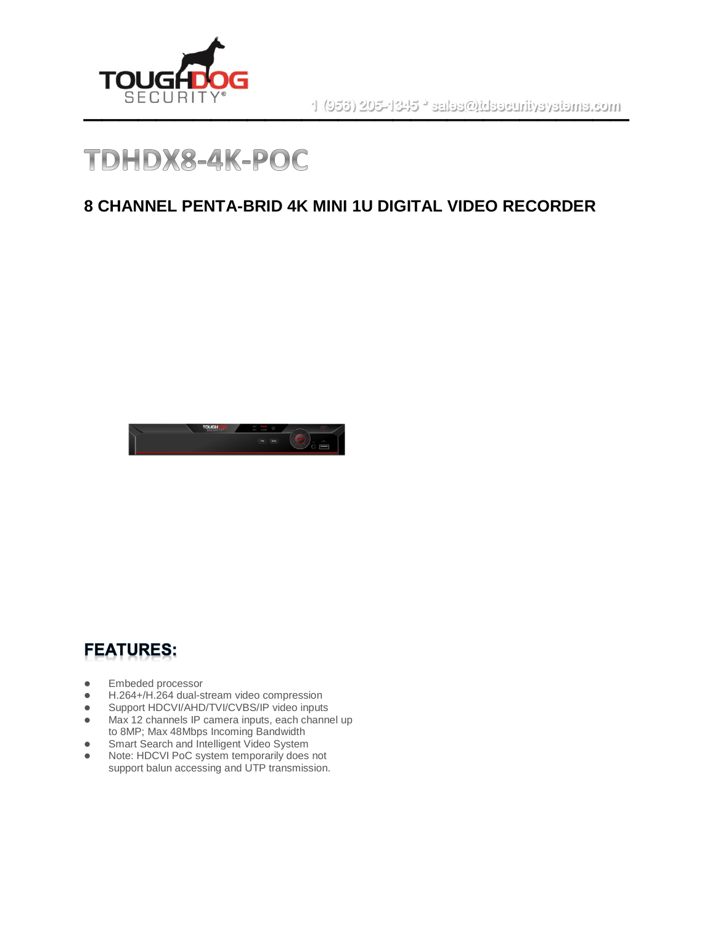



#### **8 CHANNEL PENTA-BRID 4K MINI 1U DIGITAL VIDEO RECORDER**



### **FEATURES:**

- ⚫ Embeded processor
- H.264+/H.264 dual-stream video compression
- Support HDCVI/AHD/TVI/CVBS/IP video inputs<br>● Max 12 channels IP camera inputs, each chann
- Max 12 channels IP camera inputs, each channel up to 8MP; Max 48Mbps Incoming Bandwidth
- Smart Search and Intelligent Video System
- Note: HDCVI PoC system temporarily does not support balun accessing and UTP transmission.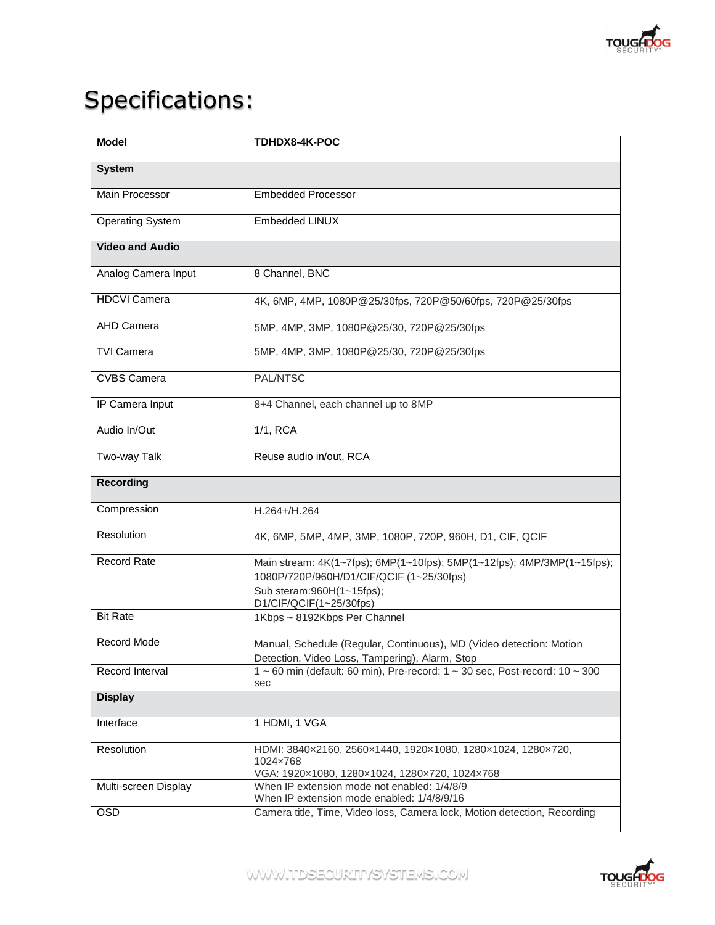

# Specifications:

| <b>Model</b>            | TDHDX8-4K-POC                                                                                                                                                               |
|-------------------------|-----------------------------------------------------------------------------------------------------------------------------------------------------------------------------|
| <b>System</b>           |                                                                                                                                                                             |
| <b>Main Processor</b>   | <b>Embedded Processor</b>                                                                                                                                                   |
| <b>Operating System</b> | <b>Embedded LINUX</b>                                                                                                                                                       |
| <b>Video and Audio</b>  |                                                                                                                                                                             |
| Analog Camera Input     | 8 Channel, BNC                                                                                                                                                              |
| <b>HDCVI Camera</b>     | 4K, 6MP, 4MP, 1080P@25/30fps, 720P@50/60fps, 720P@25/30fps                                                                                                                  |
| <b>AHD Camera</b>       | 5MP, 4MP, 3MP, 1080P@25/30, 720P@25/30fps                                                                                                                                   |
| <b>TVI Camera</b>       | 5MP, 4MP, 3MP, 1080P@25/30, 720P@25/30fps                                                                                                                                   |
| <b>CVBS Camera</b>      | PAL/NTSC                                                                                                                                                                    |
| IP Camera Input         | 8+4 Channel, each channel up to 8MP                                                                                                                                         |
| Audio In/Out            | 1/1, RCA                                                                                                                                                                    |
| Two-way Talk            | Reuse audio in/out, RCA                                                                                                                                                     |
| <b>Recording</b>        |                                                                                                                                                                             |
| Compression             | H.264+/H.264                                                                                                                                                                |
| Resolution              | 4K, 6MP, 5MP, 4MP, 3MP, 1080P, 720P, 960H, D1, CIF, QCIF                                                                                                                    |
| <b>Record Rate</b>      | Main stream: 4K(1~7fps); 6MP(1~10fps); 5MP(1~12fps); 4MP/3MP(1~15fps);<br>1080P/720P/960H/D1/CIF/QCIF (1~25/30fps)<br>Sub steram: 960H(1~15fps);<br>D1/CIF/QCIF(1~25/30fps) |
| <b>Bit Rate</b>         | 1Kbps ~ 8192Kbps Per Channel                                                                                                                                                |
| Record Mode             | Manual, Schedule (Regular, Continuous), MD (Video detection: Motion<br>Detection, Video Loss, Tampering), Alarm, Stop                                                       |
| Record Interval         | 1 ~ 60 min (default: 60 min), Pre-record: $1 \sim 30$ sec, Post-record: $10 \sim 300$<br>sec                                                                                |
| <b>Display</b>          |                                                                                                                                                                             |
| Interface               | 1 HDMI, 1 VGA                                                                                                                                                               |
| Resolution              | HDMI: 3840x2160, 2560x1440, 1920x1080, 1280x1024, 1280x720,<br>1024×768<br>VGA: 1920×1080, 1280×1024, 1280×720, 1024×768                                                    |
| Multi-screen Display    | When IP extension mode not enabled: 1/4/8/9<br>When IP extension mode enabled: 1/4/8/9/16                                                                                   |
| <b>OSD</b>              | Camera title, Time, Video loss, Camera lock, Motion detection, Recording                                                                                                    |

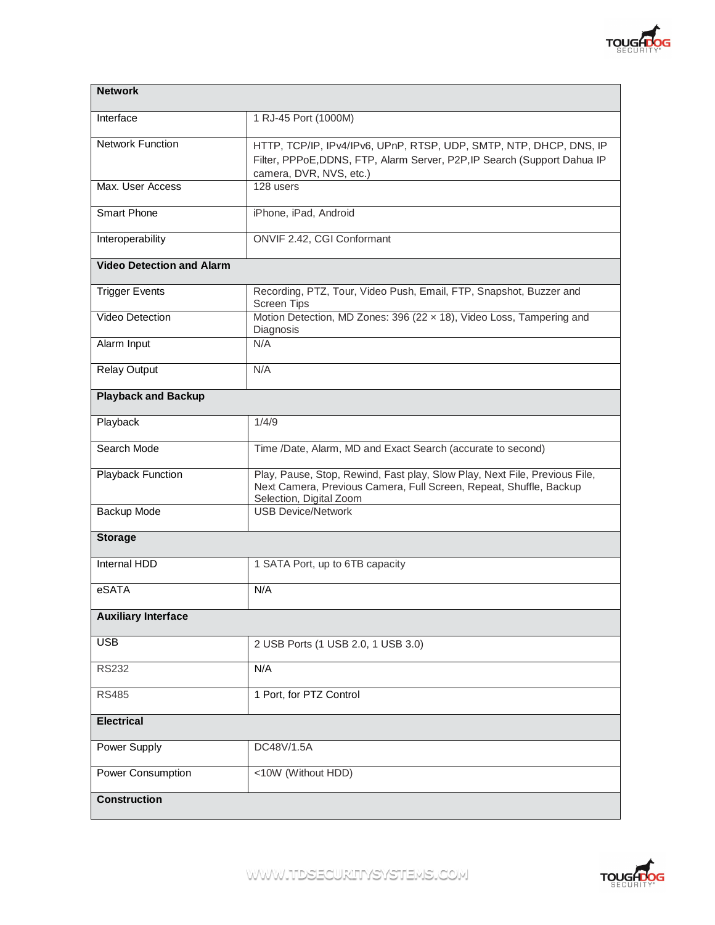

| <b>Network</b>                   |                                                                                                                                                                             |
|----------------------------------|-----------------------------------------------------------------------------------------------------------------------------------------------------------------------------|
| Interface                        | 1 RJ-45 Port (1000M)                                                                                                                                                        |
| <b>Network Function</b>          | HTTP, TCP/IP, IPv4/IPv6, UPnP, RTSP, UDP, SMTP, NTP, DHCP, DNS, IP<br>Filter, PPPoE, DDNS, FTP, Alarm Server, P2P, IP Search (Support Dahua IP<br>camera, DVR, NVS, etc.)   |
| Max. User Access                 | 128 users                                                                                                                                                                   |
| <b>Smart Phone</b>               | iPhone, iPad, Android                                                                                                                                                       |
| Interoperability                 | ONVIF 2.42, CGI Conformant                                                                                                                                                  |
| <b>Video Detection and Alarm</b> |                                                                                                                                                                             |
| <b>Trigger Events</b>            | Recording, PTZ, Tour, Video Push, Email, FTP, Snapshot, Buzzer and<br><b>Screen Tips</b>                                                                                    |
| <b>Video Detection</b>           | Motion Detection, MD Zones: 396 (22 x 18), Video Loss, Tampering and<br>Diagnosis                                                                                           |
| Alarm Input                      | N/A                                                                                                                                                                         |
| <b>Relay Output</b>              | N/A                                                                                                                                                                         |
| <b>Playback and Backup</b>       |                                                                                                                                                                             |
| Playback                         | 1/4/9                                                                                                                                                                       |
| Search Mode                      | Time /Date, Alarm, MD and Exact Search (accurate to second)                                                                                                                 |
| Playback Function                | Play, Pause, Stop, Rewind, Fast play, Slow Play, Next File, Previous File,<br>Next Camera, Previous Camera, Full Screen, Repeat, Shuffle, Backup<br>Selection, Digital Zoom |
| Backup Mode                      | <b>USB Device/Network</b>                                                                                                                                                   |
| <b>Storage</b>                   |                                                                                                                                                                             |
| Internal HDD                     | 1 SATA Port, up to 6TB capacity                                                                                                                                             |
| eSATA                            | N/A                                                                                                                                                                         |
| <b>Auxiliary Interface</b>       |                                                                                                                                                                             |
| <b>USB</b>                       | 2 USB Ports (1 USB 2.0, 1 USB 3.0)                                                                                                                                          |
| <b>RS232</b>                     | N/A                                                                                                                                                                         |
| <b>RS485</b>                     | 1 Port, for PTZ Control                                                                                                                                                     |
| <b>Electrical</b>                |                                                                                                                                                                             |
| Power Supply                     | DC48V/1.5A                                                                                                                                                                  |
| <b>Power Consumption</b>         | <10W (Without HDD)                                                                                                                                                          |
| <b>Construction</b>              |                                                                                                                                                                             |



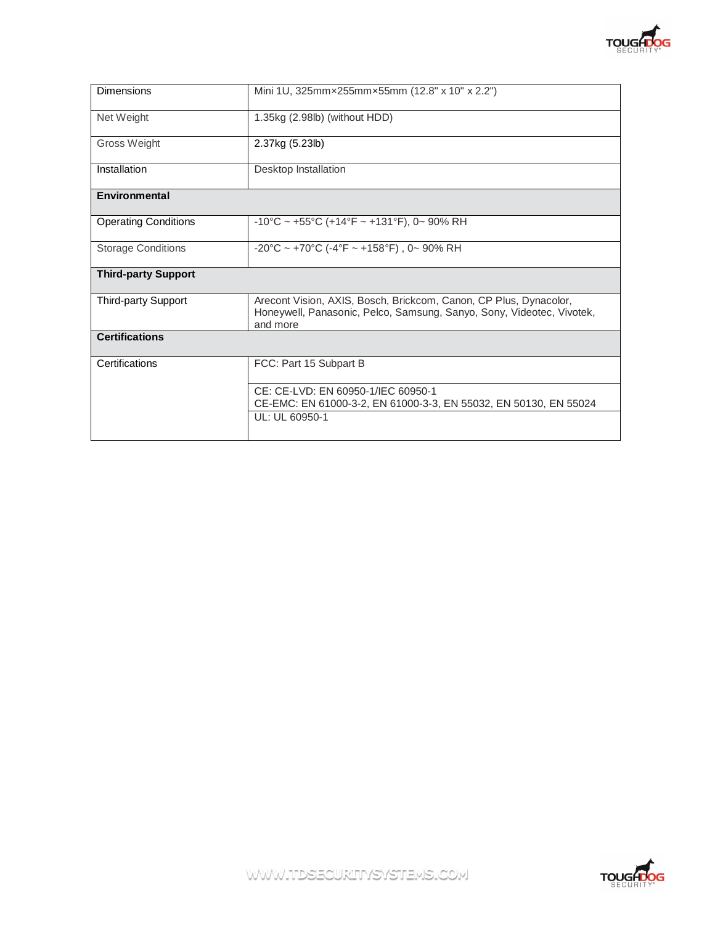

| 1.35kg (2.98lb) (without HDD)<br>2.37kg (5.23lb)<br>Desktop Installation                                                                               |  |
|--------------------------------------------------------------------------------------------------------------------------------------------------------|--|
|                                                                                                                                                        |  |
|                                                                                                                                                        |  |
|                                                                                                                                                        |  |
|                                                                                                                                                        |  |
| $-10^{\circ}$ C ~ +55°C (+14°F ~ +131°F), 0~ 90% RH                                                                                                    |  |
| $-20^{\circ}$ C ~ +70°C (-4°F ~ +158°F), 0~ 90% RH                                                                                                     |  |
|                                                                                                                                                        |  |
| Arecont Vision, AXIS, Bosch, Brickcom, Canon, CP Plus, Dynacolor,<br>Honeywell, Panasonic, Pelco, Samsung, Sanyo, Sony, Videotec, Vivotek,<br>and more |  |
| <b>Certifications</b>                                                                                                                                  |  |
| FCC: Part 15 Subpart B                                                                                                                                 |  |
| CE: CE-LVD: EN 60950-1/IEC 60950-1<br>CE-EMC: EN 61000-3-2, EN 61000-3-3, EN 55032, EN 50130, EN 55024<br>UL: UL 60950-1                               |  |
|                                                                                                                                                        |  |